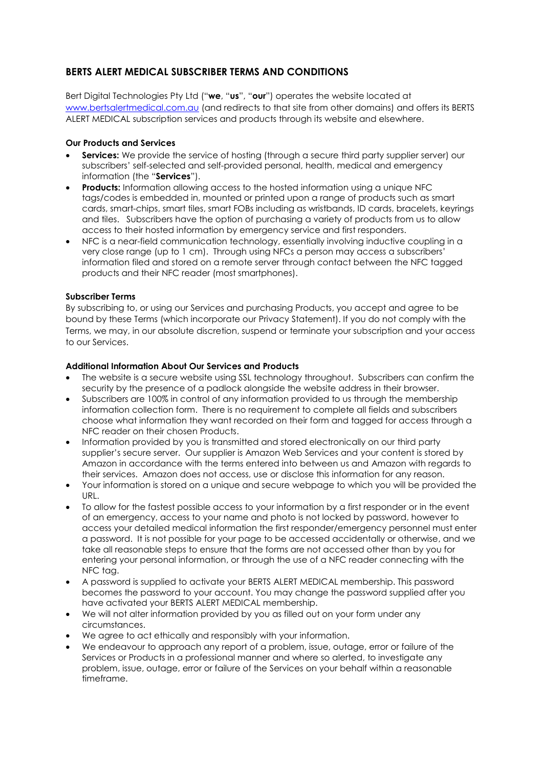# **BERTS ALERT MEDICAL SUBSCRIBER TERMS AND CONDITIONS**

Bert Digital Technologies Pty Ltd ("**we**, "**us**", "**our**") operates the website located at [www.bertsalertmedical.com.au](http://www.bertsalertmedical.com.au/) (and redirects to that site from other domains) and offers its BERTS ALERT MEDICAL subscription services and products through its website and elsewhere.

# **Our Products and Services**

- **Services:** We provide the service of hosting (through a secure third party supplier server) our subscribers' self-selected and self-provided personal, health, medical and emergency information (the "**Services**").
- **Products:** Information allowing access to the hosted information using a unique NFC tags/codes is embedded in, mounted or printed upon a range of products such as smart cards, smart-chips, smart tiles, smart FOBs including as wristbands, ID cards, bracelets, keyrings and tiles. Subscribers have the option of purchasing a variety of products from us to allow access to their hosted information by emergency service and first responders.
- NFC is a near-field communication technology, essentially involving inductive coupling in a very close range (up to 1 cm). Through using NFCs a person may access a subscribers' information filed and stored on a remote server through contact between the NFC tagged products and their NFC reader (most smartphones).

# **Subscriber Terms**

By subscribing to, or using our Services and purchasing Products, you accept and agree to be bound by these Terms (which incorporate our Privacy Statement). If you do not comply with the Terms, we may, in our absolute discretion, suspend or terminate your subscription and your access to our Services.

# **Additional Information About Our Services and Products**

- The website is a secure website using SSL technology throughout. Subscribers can confirm the security by the presence of a padlock alongside the website address in their browser.
- Subscribers are 100% in control of any information provided to us through the membership information collection form. There is no requirement to complete all fields and subscribers choose what information they want recorded on their form and tagged for access through a NFC reader on their chosen Products.
- Information provided by you is transmitted and stored electronically on our third party supplier's secure server. Our supplier is Amazon Web Services and your content is stored by Amazon in accordance with the terms entered into between us and Amazon with regards to their services. Amazon does not access, use or disclose this information for any reason.
- Your information is stored on a unique and secure webpage to which you will be provided the URL.
- To allow for the fastest possible access to your information by a first responder or in the event of an emergency, access to your name and photo is not locked by password, however to access your detailed medical information the first responder/emergency personnel must enter a password. It is not possible for your page to be accessed accidentally or otherwise, and we take all reasonable steps to ensure that the forms are not accessed other than by you for entering your personal information, or through the use of a NFC reader connecting with the NFC tag.
- A password is supplied to activate your BERTS ALERT MEDICAL membership. This password becomes the password to your account. You may change the password supplied after you have activated your BERTS ALERT MEDICAL membership.
- We will not alter information provided by you as filled out on your form under any circumstances.
- We agree to act ethically and responsibly with your information.
- We endeavour to approach any report of a problem, issue, outage, error or failure of the Services or Products in a professional manner and where so alerted, to investigate any problem, issue, outage, error or failure of the Services on your behalf within a reasonable timeframe.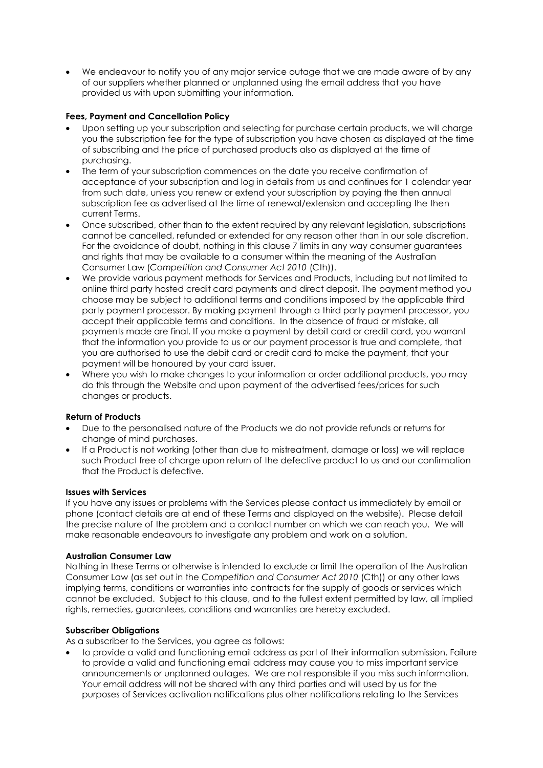• We endeavour to notify you of any major service outage that we are made aware of by any of our suppliers whether planned or unplanned using the email address that you have provided us with upon submitting your information.

## **Fees, Payment and Cancellation Policy**

- Upon setting up your subscription and selecting for purchase certain products, we will charge you the subscription fee for the type of subscription you have chosen as displayed at the time of subscribing and the price of purchased products also as displayed at the time of purchasing.
- The term of your subscription commences on the date you receive confirmation of acceptance of your subscription and log in details from us and continues for 1 calendar year from such date, unless you renew or extend your subscription by paying the then annual subscription fee as advertised at the time of renewal/extension and accepting the then current Terms.
- Once subscribed, other than to the extent required by any relevant legislation, subscriptions cannot be cancelled, refunded or extended for any reason other than in our sole discretion. For the avoidance of doubt, nothing in this clause 7 limits in any way consumer guarantees and rights that may be available to a consumer within the meaning of the Australian Consumer Law (*Competition and Consumer Act 2010* (Cth)).
- We provide various payment methods for Services and Products, including but not limited to online third party hosted credit card payments and direct deposit. The payment method you choose may be subject to additional terms and conditions imposed by the applicable third party payment processor. By making payment through a third party payment processor, you accept their applicable terms and conditions. In the absence of fraud or mistake, all payments made are final. If you make a payment by debit card or credit card, you warrant that the information you provide to us or our payment processor is true and complete, that you are authorised to use the debit card or credit card to make the payment, that your payment will be honoured by your card issuer.
- Where you wish to make changes to your information or order additional products, you may do this through the Website and upon payment of the advertised fees/prices for such changes or products.

### **Return of Products**

- Due to the personalised nature of the Products we do not provide refunds or returns for change of mind purchases.
- If a Product is not working (other than due to mistreatment, damage or loss) we will replace such Product free of charge upon return of the defective product to us and our confirmation that the Product is defective.

### **Issues with Services**

If you have any issues or problems with the Services please contact us immediately by email or phone (contact details are at end of these Terms and displayed on the website). Please detail the precise nature of the problem and a contact number on which we can reach you. We will make reasonable endeavours to investigate any problem and work on a solution.

### **Australian Consumer Law**

Nothing in these Terms or otherwise is intended to exclude or limit the operation of the Australian Consumer Law (as set out in the *Competition and Consumer Act 2010* (Cth)) or any other laws implying terms, conditions or warranties into contracts for the supply of goods or services which cannot be excluded. Subject to this clause, and to the fullest extent permitted by law, all implied rights, remedies, guarantees, conditions and warranties are hereby excluded.

### **Subscriber Obligations**

As a subscriber to the Services, you agree as follows:

• to provide a valid and functioning email address as part of their information submission. Failure to provide a valid and functioning email address may cause you to miss important service announcements or unplanned outages. We are not responsible if you miss such information. Your email address will not be shared with any third parties and will used by us for the purposes of Services activation notifications plus other notifications relating to the Services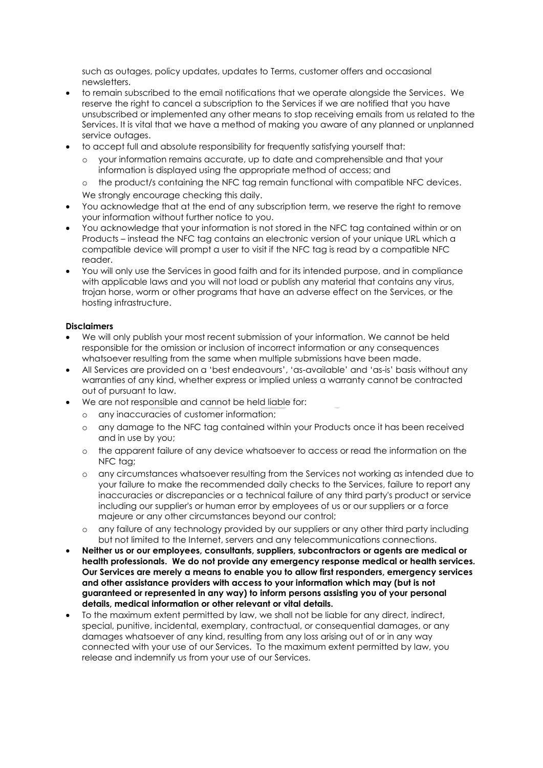such as outages, policy updates, updates to Terms, customer offers and occasional newsletters.

- to remain subscribed to the email notifications that we operate alongside the Services. We reserve the right to cancel a subscription to the Services if we are notified that you have unsubscribed or implemented any other means to stop receiving emails from us related to the Services. It is vital that we have a method of making you aware of any planned or unplanned service outages.
- to accept full and absolute responsibility for frequently satisfying yourself that:
	- o your information remains accurate, up to date and comprehensible and that your information is displayed using the appropriate method of access; and
	- the product/s containing the NFC tag remain functional with compatible NFC devices. We strongly encourage checking this daily.
- You acknowledge that at the end of any subscription term, we reserve the right to remove your information without further notice to you.
- You acknowledge that your information is not stored in the NFC tag contained within or on Products – instead the NFC tag contains an electronic version of your unique URL which a compatible device will prompt a user to visit if the NFC tag is read by a compatible NFC reader.
- You will only use the Services in good faith and for its intended purpose, and in compliance with applicable laws and you will not load or publish any material that contains any virus, trojan horse, worm or other programs that have an adverse effect on the Services, or the hosting infrastructure.

#### **Disclaimers**

- We will only publish your most recent submission of your information. We cannot be held responsible for the omission or inclusion of incorrect information or any consequences whatsoever resulting from the same when multiple submissions have been made.
- All Services are provided on a 'best endeavours', 'as-available' and 'as-is' basis without any warranties of any kind, whether express or implied unless a warranty cannot be contracted out of pursuant to law.
- We are not responsible and cannot be held liable for:
	- o any inaccuracies of customer information;
	- o any damage to the NFC tag contained within your Products once it has been received and in use by you;
	- o the apparent failure of any device whatsoever to access or read the information on the NFC tag;
	- o any circumstances whatsoever resulting from the Services not working as intended due to your failure to make the recommended daily checks to the Services, failure to report any inaccuracies or discrepancies or a technical failure of any third party's product or service including our supplier's or human error by employees of us or our suppliers or a force majeure or any other circumstances beyond our control;
	- any failure of any technology provided by our suppliers or any other third party including but not limited to the Internet, servers and any telecommunications connections.
- **Neither us or our employees, consultants, suppliers, subcontractors or agents are medical or health professionals. We do not provide any emergency response medical or health services. Our Services are merely a means to enable you to allow first responders, emergency services and other assistance providers with access to your information which may (but is not guaranteed or represented in any way) to inform persons assisting you of your personal details, medical information or other relevant or vital details.**
- To the maximum extent permitted by law, we shall not be liable for any direct, indirect, special, punitive, incidental, exemplary, contractual, or consequential damages, or any damages whatsoever of any kind, resulting from any loss arising out of or in any way connected with your use of our Services. To the maximum extent permitted by law, you release and indemnify us from your use of our Services.